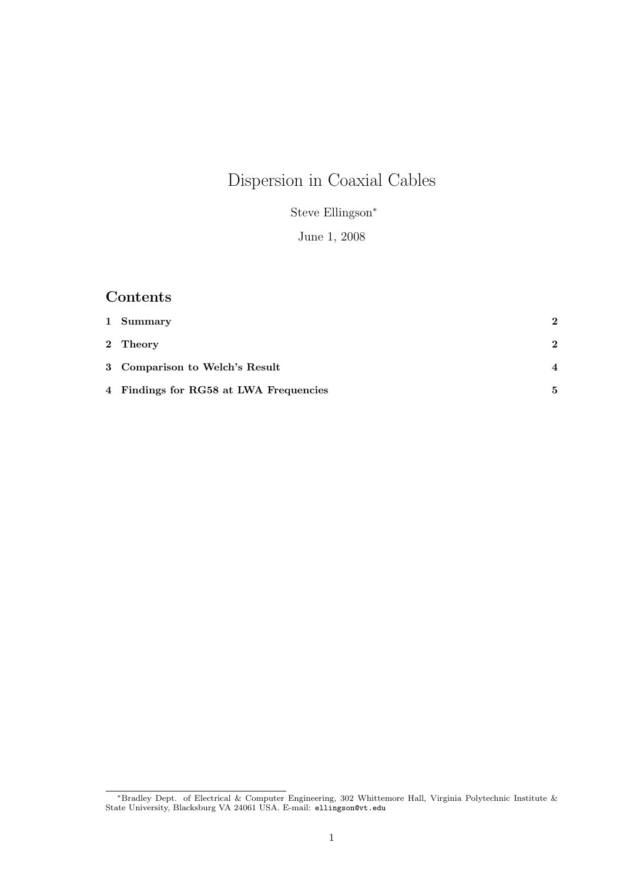# Dispersion in Coaxial Cables

Steve Ellingson<sup>∗</sup>

June 1, 2008

### Contents

| 1 Summary                              | $\mathbf{2}$   |
|----------------------------------------|----------------|
| 2 Theory                               | $\mathbf{2}$   |
| 3 Comparison to Welch's Result         | $\overline{4}$ |
| 4 Findings for RG58 at LWA Frequencies | 5.             |

<sup>∗</sup>Bradley Dept. of Electrical & Computer Engineering, 302 Whittemore Hall, Virginia Polytechnic Institute & State University, Blacksburg VA 24061 USA. E-mail: ellingson@vt.edu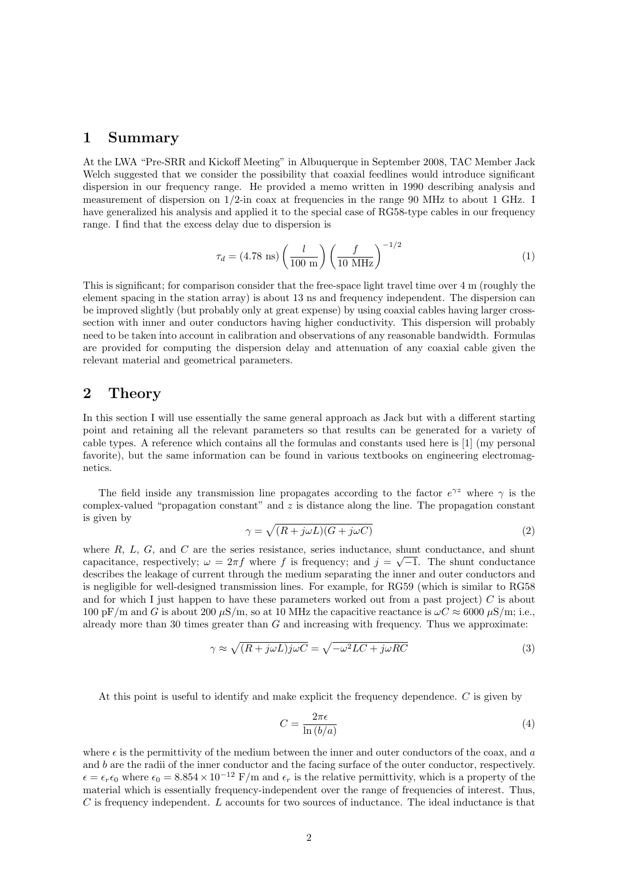#### 1 Summary

At the LWA "Pre-SRR and Kickoff Meeting" in Albuquerque in September 2008, TAC Member Jack Welch suggested that we consider the possibility that coaxial feedlines would introduce significant dispersion in our frequency range. He provided a memo written in 1990 describing analysis and measurement of dispersion on 1/2-in coax at frequencies in the range 90 MHz to about 1 GHz. I have generalized his analysis and applied it to the special case of RG58-type cables in our frequency range. I find that the excess delay due to dispersion is

$$
\tau_d = (4.78 \text{ ns}) \left(\frac{l}{100 \text{ m}}\right) \left(\frac{f}{10 \text{ MHz}}\right)^{-1/2} \tag{1}
$$

This is significant; for comparison consider that the free-space light travel time over 4 m (roughly the element spacing in the station array) is about 13 ns and frequency independent. The dispersion can be improved slightly (but probably only at great expense) by using coaxial cables having larger crosssection with inner and outer conductors having higher conductivity. This dispersion will probably need to be taken into account in calibration and observations of any reasonable bandwidth. Formulas are provided for computing the dispersion delay and attenuation of any coaxial cable given the relevant material and geometrical parameters.

#### 2 Theory

In this section I will use essentially the same general approach as Jack but with a different starting point and retaining all the relevant parameters so that results can be generated for a variety of cable types. A reference which contains all the formulas and constants used here is [1] (my personal favorite), but the same information can be found in various textbooks on engineering electromagnetics.

The field inside any transmission line propagates according to the factor  $e^{\gamma z}$  where  $\gamma$  is the complex-valued "propagation constant" and  $z$  is distance along the line. The propagation constant is given by

$$
\gamma = \sqrt{(R + j\omega L)(G + j\omega C)}\tag{2}
$$

where  $R$ ,  $L$ ,  $G$ , and  $C$  are the series resistance, series inductance, shunt conductance, and shunt capacitance, respectively;  $\omega = 2\pi f$  where f is frequency; and  $j = \sqrt{-1}$ . The shunt conductance describes the leakage of current through the medium separating the inner and outer conductors and is negligible for well-designed transmission lines. For example, for RG59 (which is similar to RG58 and for which I just happen to have these parameters worked out from a past project)  $C$  is about 100 pF/m and G is about 200  $\mu$ S/m, so at 10 MHz the capacitive reactance is  $\omega C \approx 6000 \,\mu$ S/m; i.e., already more than 30 times greater than  $G$  and increasing with frequency. Thus we approximate:

$$
\gamma \approx \sqrt{(R + j\omega L)j\omega C} = \sqrt{-\omega^2 LC + j\omega RC}
$$
\n(3)

At this point is useful to identify and make explicit the frequency dependence. C is given by

$$
C = \frac{2\pi\epsilon}{\ln\left(b/a\right)}\tag{4}
$$

where  $\epsilon$  is the permittivity of the medium between the inner and outer conductors of the coax, and a and  $b$  are the radii of the inner conductor and the facing surface of the outer conductor, respectively.  $\epsilon = \epsilon_r \epsilon_0$  where  $\epsilon_0 = 8.854 \times 10^{-12}$  F/m and  $\epsilon_r$  is the relative permittivity, which is a property of the material which is essentially frequency-independent over the range of frequencies of interest. Thus,  $C$  is frequency independent. L accounts for two sources of inductance. The ideal inductance is that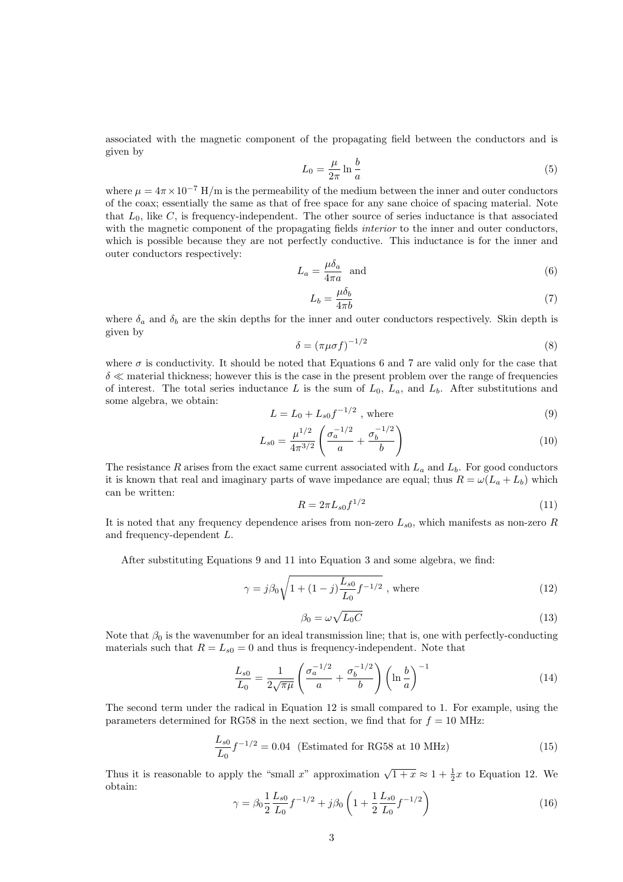associated with the magnetic component of the propagating field between the conductors and is given by

$$
L_0 = \frac{\mu}{2\pi} \ln \frac{b}{a} \tag{5}
$$

where  $\mu = 4\pi \times 10^{-7}$  H/m is the permeability of the medium between the inner and outer conductors of the coax; essentially the same as that of free space for any sane choice of spacing material. Note that  $L_0$ , like C, is frequency-independent. The other source of series inductance is that associated with the magnetic component of the propagating fields *interior* to the inner and outer conductors, which is possible because they are not perfectly conductive. This inductance is for the inner and outer conductors respectively:

$$
L_a = \frac{\mu \delta_a}{4\pi a} \quad \text{and} \tag{6}
$$

$$
L_b = \frac{\mu \delta_b}{4\pi b} \tag{7}
$$

where  $\delta_a$  and  $\delta_b$  are the skin depths for the inner and outer conductors respectively. Skin depth is given by

$$
\delta = \left(\pi\mu\sigma f\right)^{-1/2} \tag{8}
$$

where  $\sigma$  is conductivity. It should be noted that Equations 6 and 7 are valid only for the case that  $\delta \ll$  material thickness; however this is the case in the present problem over the range of frequencies of interest. The total series inductance L is the sum of  $L_0$ ,  $L_a$ , and  $L_b$ . After substitutions and some algebra, we obtain:

$$
L = L_0 + L_{s0} f^{-1/2} , \text{ where}
$$
 (9)

$$
L_{s0} = \frac{\mu^{1/2}}{4\pi^{3/2}} \left( \frac{\sigma_a^{-1/2}}{a} + \frac{\sigma_b^{-1/2}}{b} \right) \tag{10}
$$

The resistance R arises from the exact same current associated with  $L_a$  and  $L_b$ . For good conductors it is known that real and imaginary parts of wave impedance are equal; thus  $R = \omega(L_a + L_b)$  which can be written:

$$
R = 2\pi L_{s0} f^{1/2} \tag{11}
$$

It is noted that any frequency dependence arises from non-zero  $L_{s0}$ , which manifests as non-zero R and frequency-dependent L.

After substituting Equations 9 and 11 into Equation 3 and some algebra, we find:

$$
\gamma = j\beta_0 \sqrt{1 + (1 - j)\frac{L_{s0}}{L_0} f^{-1/2}} \text{ , where}
$$
 (12)

$$
\beta_0 = \omega \sqrt{L_0 C} \tag{13}
$$

Note that  $\beta_0$  is the wavenumber for an ideal transmission line; that is, one with perfectly-conducting materials such that  $R = L_{s0} = 0$  and thus is frequency-independent. Note that

$$
\frac{L_{s0}}{L_0} = \frac{1}{2\sqrt{\pi\mu}} \left( \frac{\sigma_a^{-1/2}}{a} + \frac{\sigma_b^{-1/2}}{b} \right) \left( \ln \frac{b}{a} \right)^{-1} \tag{14}
$$

The second term under the radical in Equation 12 is small compared to 1. For example, using the parameters determined for RG58 in the next section, we find that for  $f = 10$  MHz:

$$
\frac{L_{s0}}{L_0} f^{-1/2} = 0.04
$$
 (Estimated for RG58 at 10 MHz) (15)

Thus it is reasonable to apply the "small x" approximation  $\sqrt{1+x} \approx 1 + \frac{1}{2}x$  to Equation 12. We obtain:

$$
\gamma = \beta_0 \frac{1}{2} \frac{L_{s0}}{L_0} f^{-1/2} + j\beta_0 \left( 1 + \frac{1}{2} \frac{L_{s0}}{L_0} f^{-1/2} \right)
$$
(16)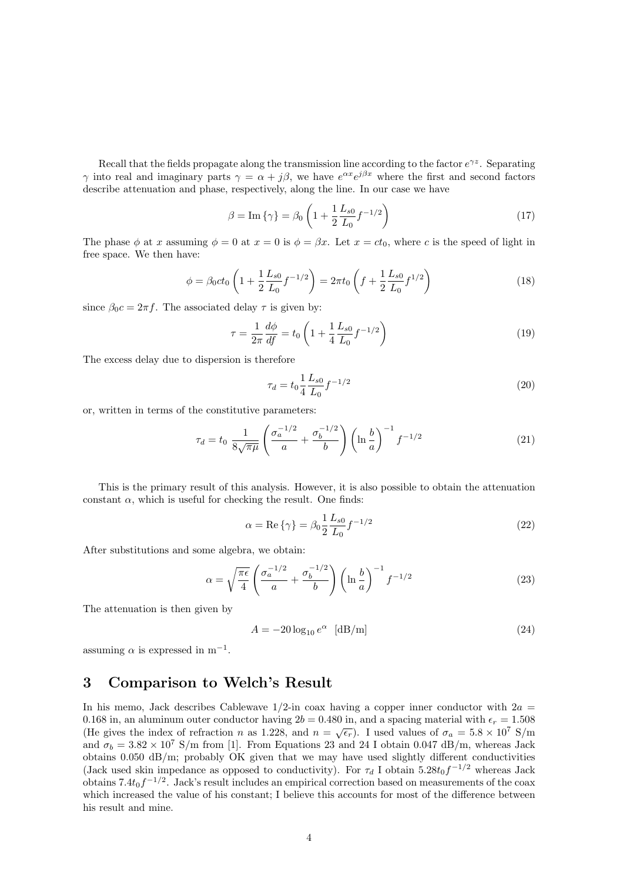Recall that the fields propagate along the transmission line according to the factor  $e^{\gamma z}$ . Separating  $\gamma$  into real and imaginary parts  $\gamma = \alpha + j\beta$ , we have  $e^{\alpha x}e^{j\beta x}$  where the first and second factors describe attenuation and phase, respectively, along the line. In our case we have

$$
\beta = \text{Im}\left\{\gamma\right\} = \beta_0 \left(1 + \frac{1}{2} \frac{L_{s0}}{L_0} f^{-1/2}\right) \tag{17}
$$

The phase  $\phi$  at x assuming  $\phi = 0$  at  $x = 0$  is  $\phi = \beta x$ . Let  $x = ct_0$ , where c is the speed of light in free space. We then have:

$$
\phi = \beta_0 c t_0 \left( 1 + \frac{1}{2} \frac{L_{s0}}{L_0} f^{-1/2} \right) = 2\pi t_0 \left( f + \frac{1}{2} \frac{L_{s0}}{L_0} f^{1/2} \right) \tag{18}
$$

since  $\beta_0 c = 2\pi f$ . The associated delay  $\tau$  is given by:

$$
\tau = \frac{1}{2\pi} \frac{d\phi}{df} = t_0 \left( 1 + \frac{1}{4} \frac{L_{s0}}{L_0} f^{-1/2} \right) \tag{19}
$$

The excess delay due to dispersion is therefore

$$
\tau_d = t_0 \frac{1}{4} \frac{L_{s0}}{L_0} f^{-1/2} \tag{20}
$$

or, written in terms of the constitutive parameters:

$$
\tau_d = t_0 \frac{1}{8\sqrt{\pi\mu}} \left( \frac{\sigma_a^{-1/2}}{a} + \frac{\sigma_b^{-1/2}}{b} \right) \left( \ln \frac{b}{a} \right)^{-1} f^{-1/2}
$$
 (21)

This is the primary result of this analysis. However, it is also possible to obtain the attenuation constant  $\alpha$ , which is useful for checking the result. One finds:

$$
\alpha = \text{Re}\left\{\gamma\right\} = \beta_0 \frac{1}{2} \frac{L_{s0}}{L_0} f^{-1/2} \tag{22}
$$

After substitutions and some algebra, we obtain:

$$
\alpha = \sqrt{\frac{\pi \epsilon}{4}} \left( \frac{\sigma_a^{-1/2}}{a} + \frac{\sigma_b^{-1/2}}{b} \right) \left( \ln \frac{b}{a} \right)^{-1} f^{-1/2}
$$
\n(23)

The attenuation is then given by

$$
A = -20\log_{10}e^{\alpha} \quad \text{[dB/m]} \tag{24}
$$

assuming  $\alpha$  is expressed in m<sup>-1</sup>.

#### 3 Comparison to Welch's Result

In his memo, Jack describes Cablewave  $1/2$ -in coax having a copper inner conductor with  $2a =$ 0.168 in, an aluminum outer conductor having  $2b = 0.480$  in, and a spacing material with  $\epsilon_r = 1.508$ (He gives the index of refraction n as 1.228, and  $n = \sqrt{\epsilon_r}$ ). I used values of  $\sigma_a = 5.8 \times 10^7$  S/m and  $\sigma_b = 3.82 \times 10^7$  S/m from [1]. From Equations 23 and 24 I obtain 0.047 dB/m, whereas Jack obtains 0.050 dB/m; probably OK given that we may have used slightly different conductivities (Jack used skin impedance as opposed to conductivity). For  $\tau_d$  I obtain 5.28 $t_0f^{-1/2}$  whereas Jack obtains  $7.4t_0f^{-1/2}$ . Jack's result includes an empirical correction based on measurements of the coax which increased the value of his constant; I believe this accounts for most of the difference between his result and mine.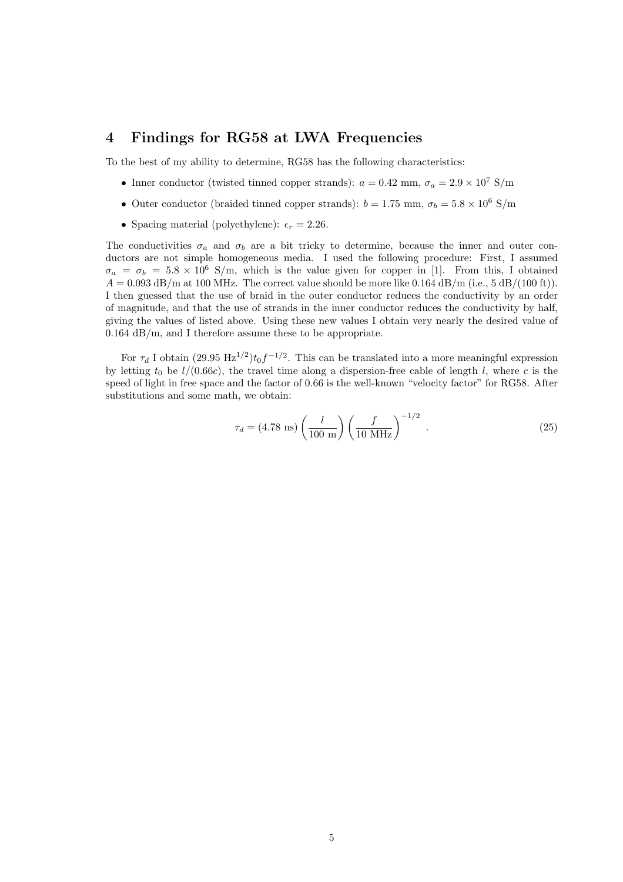#### 4 Findings for RG58 at LWA Frequencies

To the best of my ability to determine, RG58 has the following characteristics:

- Inner conductor (twisted tinned copper strands):  $a = 0.42$  mm,  $\sigma_a = 2.9 \times 10^7$  S/m
- Outer conductor (braided tinned copper strands):  $b = 1.75$  mm,  $\sigma_b = 5.8 \times 10^6$  S/m
- Spacing material (polyethylene):  $\epsilon_r = 2.26$ .

The conductivities  $\sigma_a$  and  $\sigma_b$  are a bit tricky to determine, because the inner and outer conductors are not simple homogeneous media. I used the following procedure: First, I assumed  $\sigma_a = \sigma_b = 5.8 \times 10^6$  S/m, which is the value given for copper in [1]. From this, I obtained  $A = 0.093$  dB/m at 100 MHz. The correct value should be more like 0.164 dB/m (i.e., 5 dB/(100 ft)). I then guessed that the use of braid in the outer conductor reduces the conductivity by an order of magnitude, and that the use of strands in the inner conductor reduces the conductivity by half, giving the values of listed above. Using these new values I obtain very nearly the desired value of 0.164 dB/m, and I therefore assume these to be appropriate.

For  $\tau_d$  I obtain (29.95 Hz<sup>1/2</sup>) $t_0 f^{-1/2}$ . This can be translated into a more meaningful expression by letting  $t_0$  be  $l/(0.66c)$ , the travel time along a dispersion-free cable of length l, where c is the speed of light in free space and the factor of 0.66 is the well-known "velocity factor" for RG58. After substitutions and some math, we obtain:

$$
\tau_d = (4.78 \text{ ns}) \left(\frac{l}{100 \text{ m}}\right) \left(\frac{f}{10 \text{ MHz}}\right)^{-1/2} . \tag{25}
$$